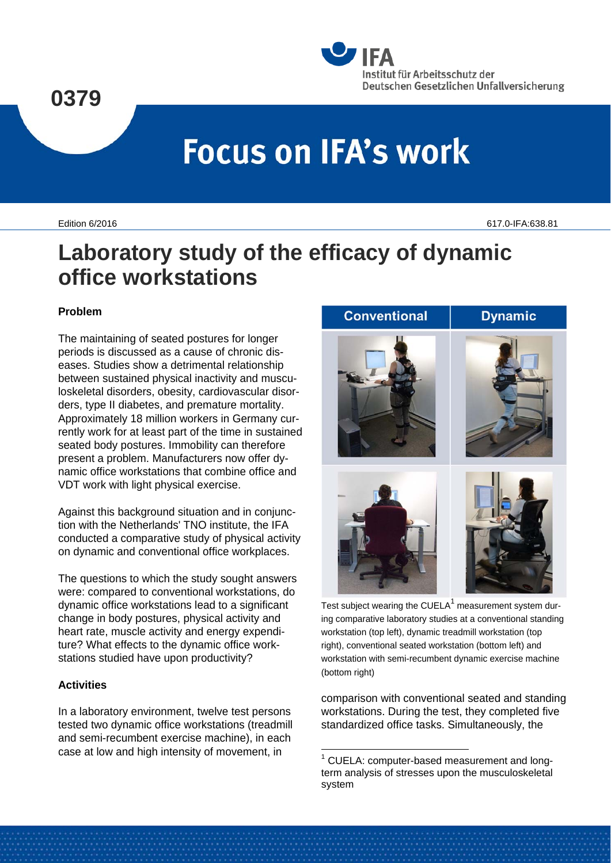### **0379**



# **Focus on IFA's work**

Edition 6/2016 617.0-IFA:638.81

## **Laboratory study of the efficacy of dynamic office workstations**

#### **Problem**

The maintaining of seated postures for longer periods is discussed as a cause of chronic diseases. Studies show a detrimental relationship between sustained physical inactivity and musculoskeletal disorders, obesity, cardiovascular disorders, type II diabetes, and premature mortality. Approximately 18 million workers in Germany currently work for at least part of the time in sustained seated body postures. Immobility can therefore present a problem. Manufacturers now offer dynamic office workstations that combine office and VDT work with light physical exercise.

Against this background situation and in conjunction with the Netherlands' TNO institute, the IFA conducted a comparative study of physical activity on dynamic and conventional office workplaces.

The questions to which the study sought answers were: compared to conventional workstations, do dynamic office workstations lead to a significant change in body postures, physical activity and heart rate, muscle activity and energy expenditure? What effects to the dynamic office workstations studied have upon productivity?

#### **Activities**

<span id="page-0-0"></span>In a laboratory environment, twelve test persons tested two dynamic office workstations (treadmill and semi-recumbent exercise machine), in each case at low and high intensity of movement, in



Test subject wearing the CUELA $<sup>1</sup>$  $<sup>1</sup>$  $<sup>1</sup>$  measurement system dur-</sup> ing comparative laboratory studies at a conventional standing workstation (top left), dynamic treadmill workstation (top right), conventional seated workstation (bottom left) and workstation with semi-recumbent dynamic exercise machine (bottom right)

comparison with conventional seated and standing workstations. During the test, they completed five standardized office tasks. Simultaneously, the

-

<sup>&</sup>lt;sup>1</sup> CUELA: computer-based measurement and longterm analysis of stresses upon the musculoskeletal system